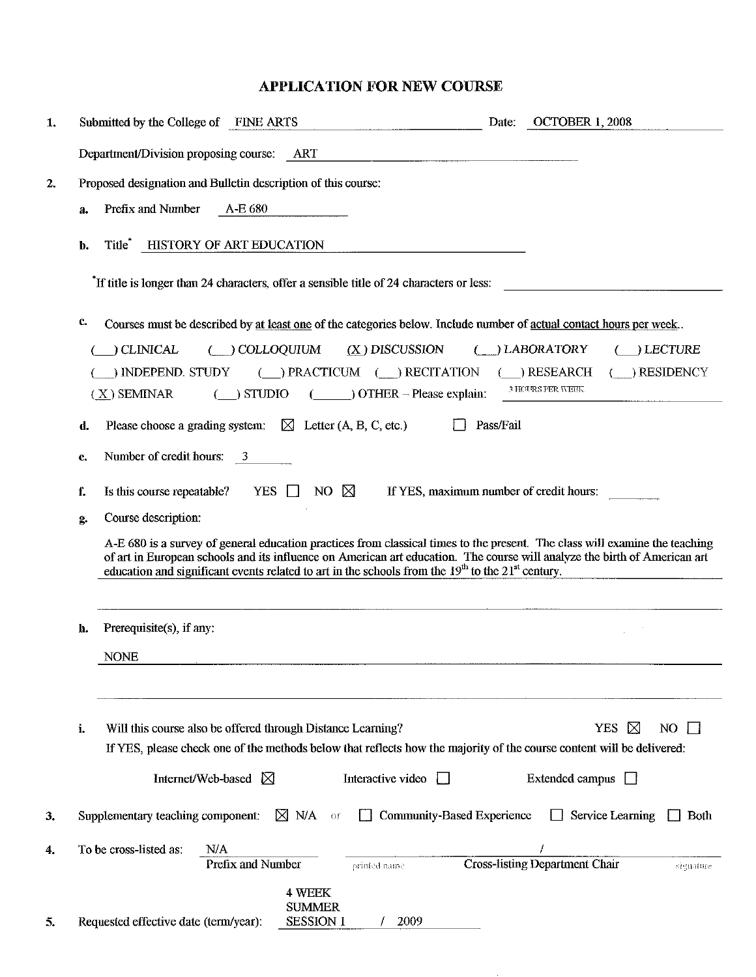## **APPLICATION FOR NEW COURSE**

| 1. | OCTOBER 1, 2008<br>Submitted by the College of FINE ARTS<br>Date:                                                                                                                                                                  |
|----|------------------------------------------------------------------------------------------------------------------------------------------------------------------------------------------------------------------------------------|
|    | Department/Division proposing course:<br>ART                                                                                                                                                                                       |
| 2. | Proposed designation and Bulletin description of this course:                                                                                                                                                                      |
|    | Prefix and Number<br>A-E 680<br>а.                                                                                                                                                                                                 |
|    | <b>HISTORY OF ART EDUCATION</b><br>Title <sup>®</sup><br>b.                                                                                                                                                                        |
|    |                                                                                                                                                                                                                                    |
|    | If title is longer than 24 characters, offer a sensible title of 24 characters or less:                                                                                                                                            |
|    | c.<br>Courses must be described by at least one of the categories below. Include number of actual contact hours per week                                                                                                           |
|    | ) CLINICAL<br>$(X)$ DISCUSSION<br>) LABORATORY<br>) LECTURE<br>$($ ) COLLOQUIUM                                                                                                                                                    |
|    | ) RESIDENCY<br>$(\_)$ PRACTICUM $(\_)$ RECITATION<br>$(+)$ RESEARCH<br>) INDEPEND. STUDY                                                                                                                                           |
|    | 3 HOURS PER WEEK.<br>$($ OTHER – Please explain:<br>$(X)$ SEMINAR<br>$( )$ STUDIO                                                                                                                                                  |
|    | Pass/Fail<br>Please choose a grading system: $\boxtimes$ Letter (A, B, C, etc.)<br>d.                                                                                                                                              |
|    | Number of credit hours: 3<br>c.                                                                                                                                                                                                    |
|    | YES $\Box$<br>NO $\boxtimes$<br>If YES, maximum number of credit hours:<br>Is this course repeatable?<br>f.                                                                                                                        |
|    | Course description:                                                                                                                                                                                                                |
|    | g.<br>A-E 680 is a survey of general education practices from classical times to the present. The class will examine the teaching                                                                                                  |
|    | of art in European schools and its influence on American art education. The course will analyze the birth of American art<br>education and significant events related to art in the schools from the $19th$ to the $21st$ century. |
|    |                                                                                                                                                                                                                                    |
|    |                                                                                                                                                                                                                                    |
|    | Prerequisite(s), if any:<br>h.                                                                                                                                                                                                     |
|    | <b>NONE</b>                                                                                                                                                                                                                        |
|    |                                                                                                                                                                                                                                    |
|    | <b>YES</b><br>i.<br>Will this course also be offered through Distance Learning?<br>$\bowtie$<br>NO                                                                                                                                 |
|    | If YES, please check one of the methods below that reflects how the majority of the course content will be delivered:                                                                                                              |
|    | Interactive video<br>Internet/Web-based $\boxtimes$<br><b>Extended campus</b>                                                                                                                                                      |
|    |                                                                                                                                                                                                                                    |
| 3. | $\times$ N/A<br><b>Community-Based Experience</b><br>Supplementary teaching component:<br>Service Learning<br><b>Both</b><br>O <sub>I</sub>                                                                                        |
| 4. | To be cross-listed as:<br>N/A<br>Prefix and Number<br><b>Cross-listing Department Chair</b><br>printed name<br>signature                                                                                                           |
|    | 4 WEEK                                                                                                                                                                                                                             |
|    | <b>SUMMER</b><br><b>SESSION 1</b><br>2009                                                                                                                                                                                          |
| 5. | Requested effective date (term/year):                                                                                                                                                                                              |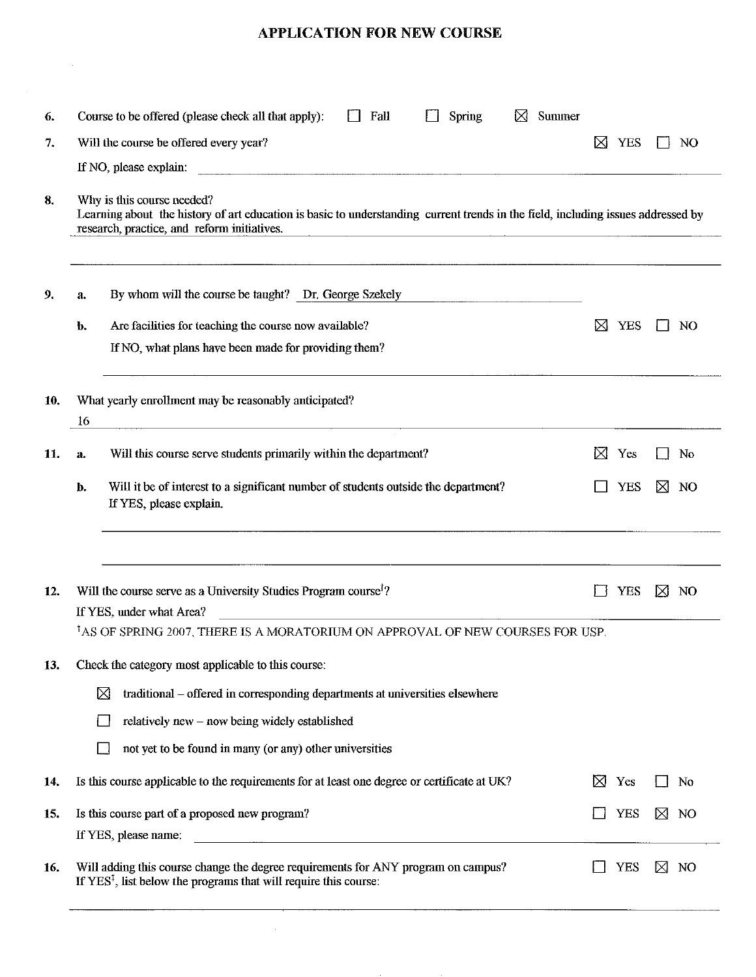# **APPLICATION FOR NEW COURSE**

 $\ddot{\phantom{a}}$ 

| Summer<br>Course to be offered (please check all that apply):<br>Fall<br><b>Spring</b><br>⋈                                                             |                                                  |                                                                                           |                                                                                                                                                                                   |
|---------------------------------------------------------------------------------------------------------------------------------------------------------|--------------------------------------------------|-------------------------------------------------------------------------------------------|-----------------------------------------------------------------------------------------------------------------------------------------------------------------------------------|
| Will the course be offered every year?                                                                                                                  | ᢂ                                                |                                                                                           | NO                                                                                                                                                                                |
| If NO, please explain:                                                                                                                                  |                                                  |                                                                                           |                                                                                                                                                                                   |
| Why is this course needed?<br>research, practice, and reform initiatives.                                                                               |                                                  |                                                                                           |                                                                                                                                                                                   |
| By whom will the course be taught? Dr. George Szekely<br>a.                                                                                             |                                                  |                                                                                           |                                                                                                                                                                                   |
| Are facilities for teaching the course now available?<br>b.                                                                                             | ⊠                                                |                                                                                           | NO                                                                                                                                                                                |
| If NO, what plans have been made for providing them?                                                                                                    |                                                  |                                                                                           |                                                                                                                                                                                   |
| What yearly enrollment may be reasonably anticipated?<br>16                                                                                             |                                                  |                                                                                           |                                                                                                                                                                                   |
| Will this course serve students primarily within the department?<br>a.                                                                                  | M                                                |                                                                                           | <b>No</b>                                                                                                                                                                         |
| Will it be of interest to a significant number of students outside the department?<br>b.<br>If YES, please explain.                                     |                                                  | YES                                                                                       | ⋈<br>NO                                                                                                                                                                           |
|                                                                                                                                                         |                                                  |                                                                                           |                                                                                                                                                                                   |
| Will the course serve as a University Studies Program course <sup>†</sup> ?                                                                             |                                                  | YES                                                                                       | NO.<br>⊠                                                                                                                                                                          |
|                                                                                                                                                         |                                                  |                                                                                           |                                                                                                                                                                                   |
| Check the category most applicable to this course:                                                                                                      |                                                  |                                                                                           |                                                                                                                                                                                   |
| $\boxtimes$<br>traditional - offered in corresponding departments at universities elsewhere                                                             |                                                  |                                                                                           |                                                                                                                                                                                   |
| relatively new – now being widely established                                                                                                           |                                                  |                                                                                           |                                                                                                                                                                                   |
| not yet to be found in many (or any) other universities                                                                                                 |                                                  |                                                                                           |                                                                                                                                                                                   |
| Is this course applicable to the requirements for at least one degree or certificate at UK?                                                             | ⊠                                                |                                                                                           | No                                                                                                                                                                                |
| Is this course part of a proposed new program?                                                                                                          |                                                  |                                                                                           | $\boxtimes$ NO                                                                                                                                                                    |
|                                                                                                                                                         |                                                  |                                                                                           |                                                                                                                                                                                   |
| Will adding this course change the degree requirements for ANY program on campus?<br>If $YES†$ , list below the programs that will require this course: |                                                  |                                                                                           | ⊠<br>NO                                                                                                                                                                           |
|                                                                                                                                                         | If YES, under what Area?<br>If YES, please name: | <sup>†</sup> AS OF SPRING 2007, THERE IS A MORATORIUM ON APPROVAL OF NEW COURSES FOR USP. | YES<br>Learning about the history of art education is basic to understanding current trends in the field, including issues addressed by<br>YES<br>Yes<br>Yes<br>YES<br><b>YES</b> |

 $\bar{z}$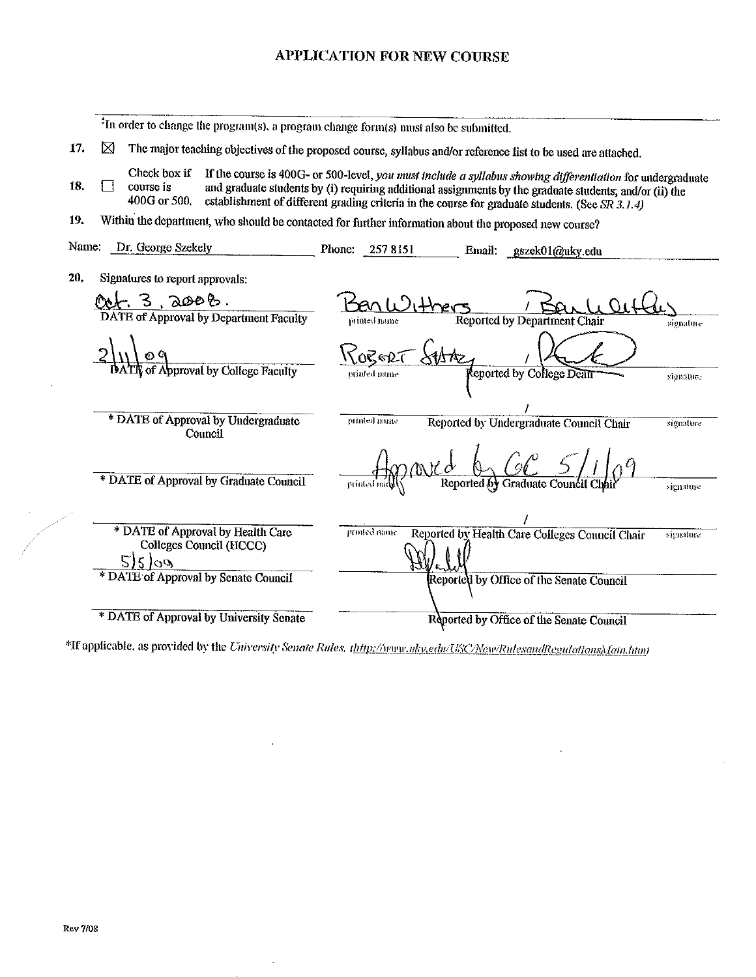# **APPLICATION FOR NEW COURSE**

|       |                                                                | <sup>‡</sup> In order to change the program(s), a program change form(s) must also be submitted.                                                                                                                                                                                                                           |
|-------|----------------------------------------------------------------|----------------------------------------------------------------------------------------------------------------------------------------------------------------------------------------------------------------------------------------------------------------------------------------------------------------------------|
| 17.   | ⋈                                                              | The major teaching objectives of the proposed course, syllabus and/or reference list to be used are attached.                                                                                                                                                                                                              |
| 18.   | Check box if<br>course is<br>400G or 500.                      | If the course is 400G- or 500-level, you must include a syllabus showing differentiation for undergraduate<br>and graduate students by (i) requiring additional assignments by the graduate students; and/or (ii) the<br>establishment of different grading criteria in the course for graduate students. (See $SR$ 3.1.4) |
| 19.   |                                                                | Within the department, who should be contacted for further information about the proposed new course?                                                                                                                                                                                                                      |
| Name: | Dr. George Szekely                                             | Phone:<br>257 8151<br>Email:<br>gszek01@uky.edu                                                                                                                                                                                                                                                                            |
| 20,   | Signatures to report approvals:                                |                                                                                                                                                                                                                                                                                                                            |
|       | - 3, పెలింటి.<br><b>DATE of Approval by Department Faculty</b> | Reported by Department Chair<br>printed name<br>signature                                                                                                                                                                                                                                                                  |
|       | © G<br>of Approval by College Faculty                          | <u>Rozert</u>                                                                                                                                                                                                                                                                                                              |
|       |                                                                | Reported by College Dear<br>ornited name<br>signature                                                                                                                                                                                                                                                                      |
|       | * DATE of Approval by Undergraduate<br>Conneil                 | printed name<br>Reported by Undergraduate Council Chair<br>signature                                                                                                                                                                                                                                                       |
|       | * DATE of Approval by Graduate Council                         | $\frac{d}{d}$ b $\frac{G}{d}$ 5 1<br>printed in                                                                                                                                                                                                                                                                            |
|       |                                                                | signature                                                                                                                                                                                                                                                                                                                  |
|       | * DATE of Approval by Health Care                              | Reported by Health Care Colleges Council Chair<br>printed name.<br>signature                                                                                                                                                                                                                                               |
|       | Colleges Council (HCCC)<br>515109                              |                                                                                                                                                                                                                                                                                                                            |
|       | * DATE of Approval by Senate Council                           | Reported by Office of the Senate Council                                                                                                                                                                                                                                                                                   |
|       | * DATE of Approval by University Senate                        | Reported by Office of the Senate Council                                                                                                                                                                                                                                                                                   |

\*If applicable, as provided by the University Senate Rules, (http://www.uky.edu/USC/New/RulesandRegulationsMain.htm)

 $\sim 10^{11}$  km  $^{-1}$ 

 $\mathcal{A}^{\mathcal{A}}$ 

 $\ddot{\phantom{a}}$ 

 $\mathbb{Z}^2$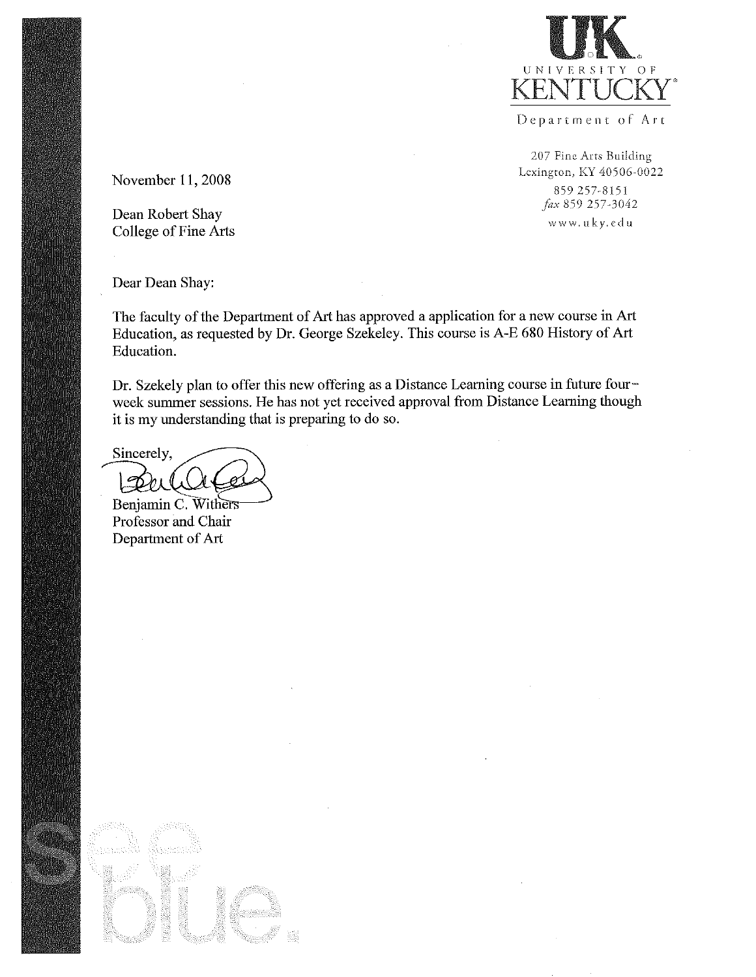

207 Fine Arts Building Lexington, KY 40506-0022 859 257-8151 fax 859 257-3042 www.uky.edu

November 11, 2008

Dean Robert Shay College of Fine Arts

Dear Dean Shay:

The faculty of the Department of Art has approved a application for a new course in Art Education, as requested by Dr. George Szekeley. This course is A-E 680 History of Art Education.

Dr. Szekely plan to offer this new offering as a Distance Learning course in future fourweek summer sessions. He has not yet received approval from Distance Learning though it is my understanding that is preparing to do so.

Sincerely,

Benjamin C. Withers Professor and Chair Department of Art

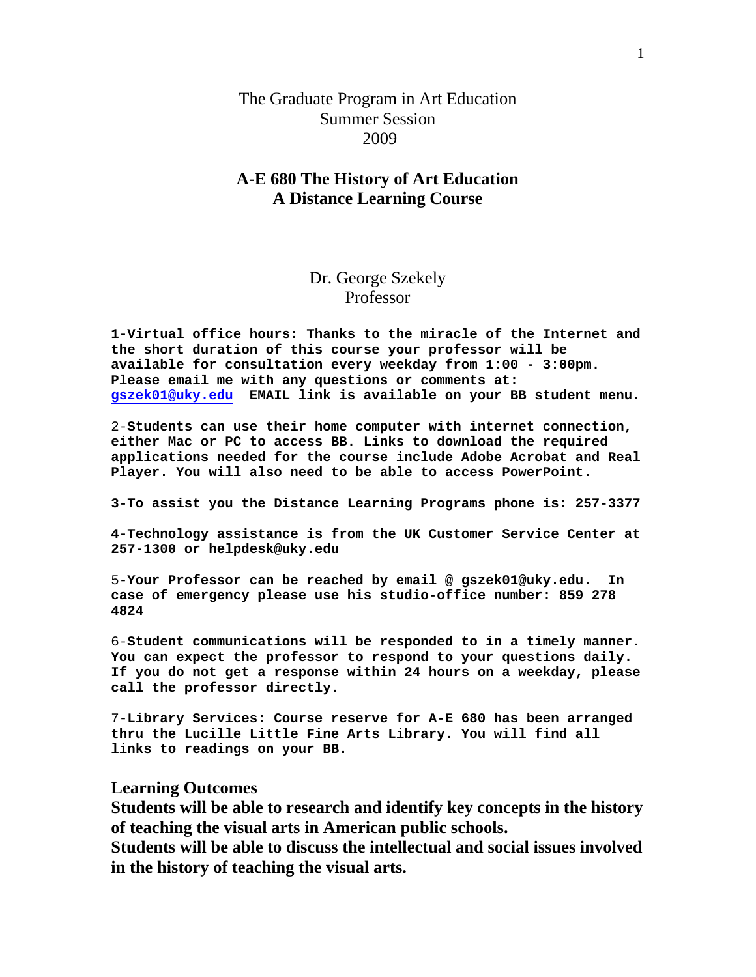# The Graduate Program in Art Education Summer Session 2009

# **A-E 680 The History of Art Education A Distance Learning Course**

### Dr. George Szekely Professor

**1-Virtual office hours: Thanks to the miracle of the Internet and the short duration of this course your professor will be available for consultation every weekday from 1:00 - 3:00pm. Please email me with any questions or comments at: gszek01@uky.edu EMAIL link is available on your BB student menu.** 

2-**Students can use their home computer with internet connection, either Mac or PC to access BB. Links to download the required applications needed for the course include Adobe Acrobat and Real Player. You will also need to be able to access PowerPoint.**

**3-To assist you the Distance Learning Programs phone is: 257-3377** 

**4-Technology assistance is from the UK Customer Service Center at 257-1300 or helpdesk@uky.edu** 

5-**Your Professor can be reached by email @ gszek01@uky.edu. In case of emergency please use his studio-office number: 859 278 4824**

6-**Student communications will be responded to in a timely manner. You can expect the professor to respond to your questions daily. If you do not get a response within 24 hours on a weekday, please call the professor directly.** 

7-**Library Services: Course reserve for A-E 680 has been arranged thru the Lucille Little Fine Arts Library. You will find all links to readings on your BB.**

#### **Learning Outcomes**

**Students will be able to research and identify key concepts in the history of teaching the visual arts in American public schools.** 

**Students will be able to discuss the intellectual and social issues involved in the history of teaching the visual arts.**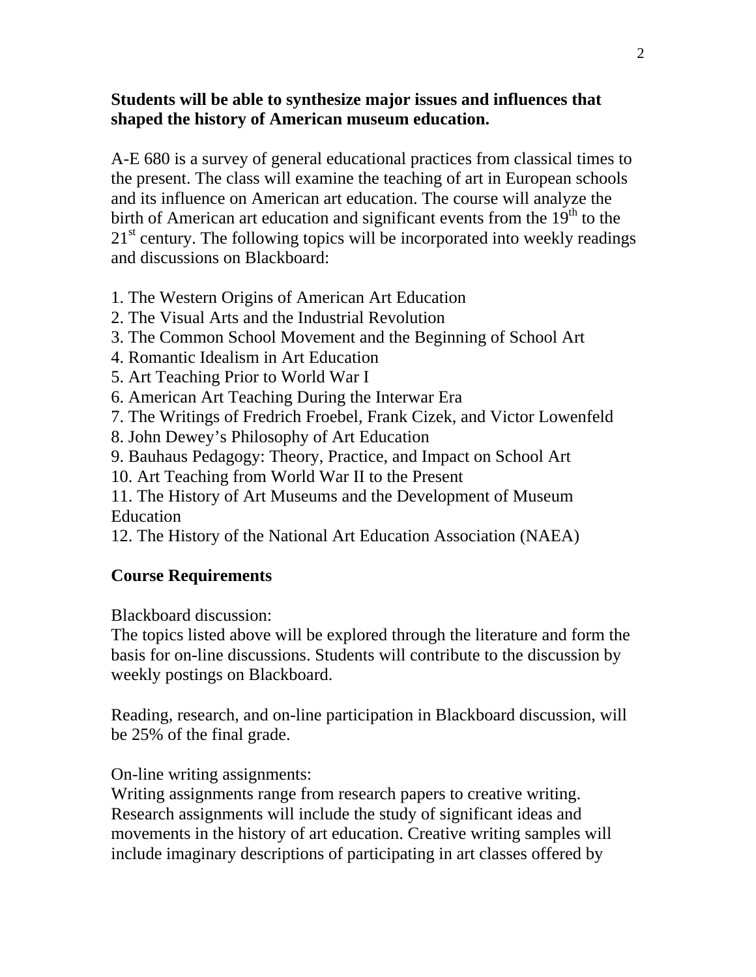# **Students will be able to synthesize major issues and influences that shaped the history of American museum education.**

A-E 680 is a survey of general educational practices from classical times to the present. The class will examine the teaching of art in European schools and its influence on American art education. The course will analyze the birth of American art education and significant events from the  $19<sup>th</sup>$  to the  $21<sup>st</sup>$  century. The following topics will be incorporated into weekly readings and discussions on Blackboard:

- 1. The Western Origins of American Art Education
- 2. The Visual Arts and the Industrial Revolution
- 3. The Common School Movement and the Beginning of School Art
- 4. Romantic Idealism in Art Education
- 5. Art Teaching Prior to World War I
- 6. American Art Teaching During the Interwar Era
- 7. The Writings of Fredrich Froebel, Frank Cizek, and Victor Lowenfeld
- 8. John Dewey's Philosophy of Art Education
- 9. Bauhaus Pedagogy: Theory, Practice, and Impact on School Art
- 10. Art Teaching from World War II to the Present

11. The History of Art Museums and the Development of Museum Education

12. The History of the National Art Education Association (NAEA)

# **Course Requirements**

Blackboard discussion:

The topics listed above will be explored through the literature and form the basis for on-line discussions. Students will contribute to the discussion by weekly postings on Blackboard.

Reading, research, and on-line participation in Blackboard discussion, will be 25% of the final grade.

On-line writing assignments:

Writing assignments range from research papers to creative writing. Research assignments will include the study of significant ideas and movements in the history of art education. Creative writing samples will include imaginary descriptions of participating in art classes offered by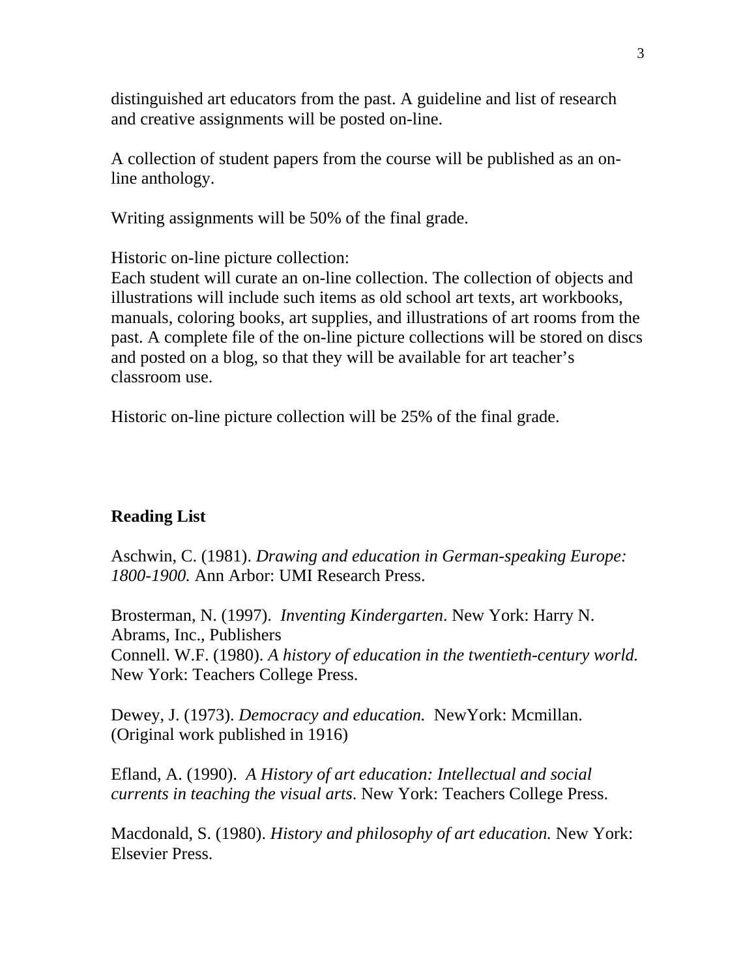distinguished art educators from the past. A guideline and list of research and creative assignments will be posted on-line.

A collection of student papers from the course will be published as an online anthology.

Writing assignments will be 50% of the final grade.

Historic on-line picture collection:

Each student will curate an on-line collection. The collection of objects and illustrations will include such items as old school art texts, art workbooks, manuals, coloring books, art supplies, and illustrations of art rooms from the past. A complete file of the on-line picture collections will be stored on discs and posted on a blog, so that they will be available for art teacher's classroom use.

Historic on-line picture collection will be 25% of the final grade.

# **Reading List**

Aschwin, C. (1981). *Drawing and education in German-speaking Europe: 1800-1900.* Ann Arbor: UMI Research Press.

Brosterman, N. (1997). *Inventing Kindergarten*. New York: Harry N. Abrams, Inc., Publishers Connell. W.F. (1980). *A history of education in the twentieth-century world.* New York: Teachers College Press.

Dewey, J. (1973). *Democracy and education.* NewYork: Mcmillan. (Original work published in 1916)

Efland, A. (1990). *A History of art education: Intellectual and social currents in teaching the visual arts*. New York: Teachers College Press.

Macdonald, S. (1980). *History and philosophy of art education.* New York: Elsevier Press.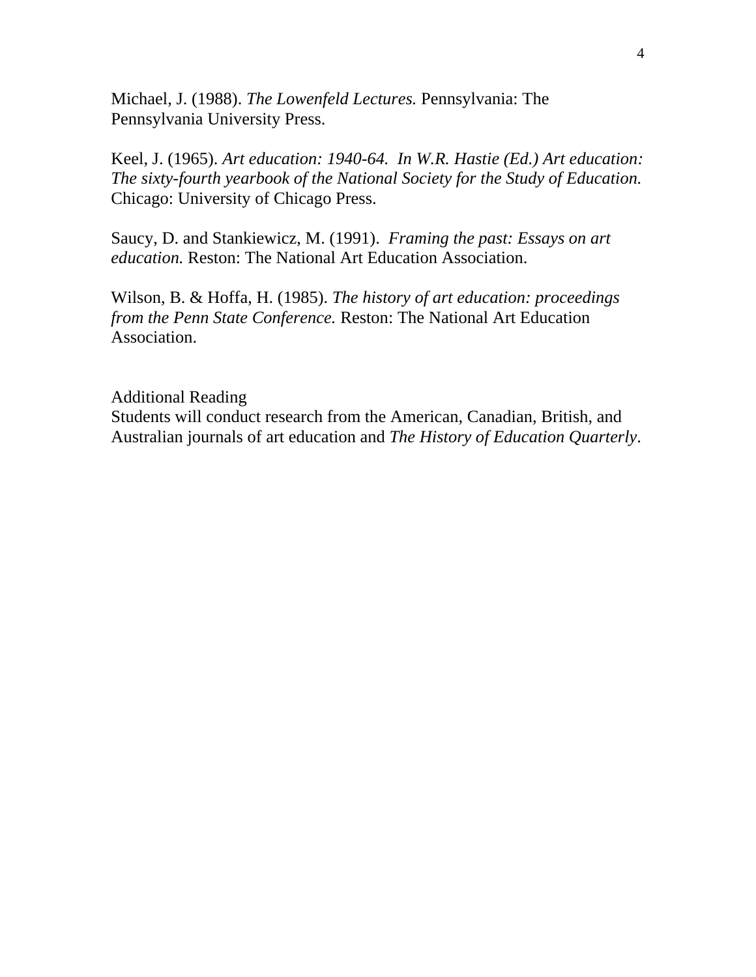Michael, J. (1988). *The Lowenfeld Lectures.* Pennsylvania: The Pennsylvania University Press.

Keel, J. (1965). *Art education: 1940-64. In W.R. Hastie (Ed.) Art education: The sixty-fourth yearbook of the National Society for the Study of Education.*  Chicago: University of Chicago Press.

Saucy, D. and Stankiewicz, M. (1991). *Framing the past: Essays on art education.* Reston: The National Art Education Association.

Wilson, B. & Hoffa, H. (1985). *The history of art education: proceedings from the Penn State Conference.* Reston: The National Art Education Association.

Additional Reading Students will conduct research from the American, Canadian, British, and Australian journals of art education and *The History of Education Quarterly*.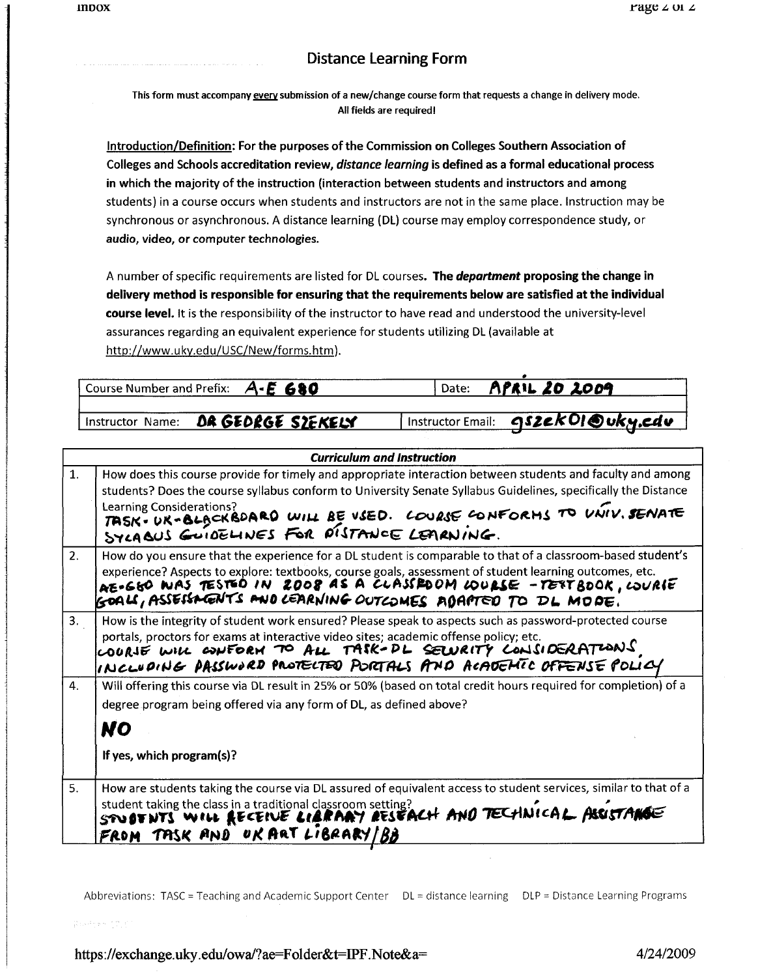## **Distance Learning Form**

This form must accompany every submission of a new/change course form that requests a change in delivery mode. All fields are required!

Introduction/Definition: For the purposes of the Commission on Colleges Southern Association of Colleges and Schools accreditation review, distance learning is defined as a formal educational process in which the majority of the instruction (interaction between students and instructors and among students) in a course occurs when students and instructors are not in the same place. Instruction may be synchronous or asynchronous. A distance learning (DL) course may employ correspondence study, or audio, video, or computer technologies.

A number of specific requirements are listed for DL courses. The *department* proposing the change in delivery method is responsible for ensuring that the requirements below are satisfied at the individual course level. It is the responsibility of the instructor to have read and understood the university-level assurances regarding an equivalent experience for students utilizing DL (available at http://www.uky.edu/USC/New/forms.htm).

| <b>Course Number and Prefix:</b> $A \cdot E$ <b>680</b> | <b>APRIL 20 2009</b><br>Date:        |
|---------------------------------------------------------|--------------------------------------|
|                                                         |                                      |
| DR GEDRGE SZEKELY<br>l Instructor Name:                 | Instructor Email: 952ek 01 Ouky, edu |

|                | <b>Curriculum and Instruction</b>                                                                                                                                                                                                                                                                                                                          |
|----------------|------------------------------------------------------------------------------------------------------------------------------------------------------------------------------------------------------------------------------------------------------------------------------------------------------------------------------------------------------------|
| 1.             | How does this course provide for timely and appropriate interaction between students and faculty and among<br>students? Does the course syllabus conform to University Senate Syllabus Guidelines, specifically the Distance<br>Learning Considerations?<br>Learning Considerations:<br>TASK - UK-BLACKBDARD WILL BE VSED. COURSE CONFORMS TO UNIV. SENATE |
| 2.             | How do you ensure that the experience for a DL student is comparable to that of a classroom-based student's<br>experience? Aspects to explore: textbooks, course goals, assessment of student learning outcomes, etc.<br>AE-660 WAS TESTED IN 2008 AS A CLASSFOOM WURSE -TEST BOOK, WURIE<br>GOALL, ASSESSMENTS AND CEARNING OUTCOMES ABAPTED TO DL MODE.  |
| 3.             | How is the integrity of student work ensured? Please speak to aspects such as password-protected course<br>portals, proctors for exams at interactive video sites; academic offense policy; etc.<br>COURIE WILL CONFORM TO ALL TASK-DL SEWRITY CONSIDERATIONS<br>INCLUDING PASSWORD PROTECTED PORTALS AND ACADEMIC OFFENSE POLICY                          |
| 4.             | Will offering this course via DL result in 25% or 50% (based on total credit hours required for completion) of a<br>degree program being offered via any form of DL, as defined above?                                                                                                                                                                     |
|                | <b>NO</b>                                                                                                                                                                                                                                                                                                                                                  |
|                | If yes, which program(s)?                                                                                                                                                                                                                                                                                                                                  |
| 5 <sub>1</sub> | How are students taking the course via DL assured of equivalent access to student services, similar to that of a<br>student taking the class in a traditional classroom setting?<br>STUBTNTS WILL RECEIVE LIGRARY RESEACH AND TECHNICAL ASSITANCE<br>FROM TASK AND UKART LIBRARY/BB                                                                        |

Abbreviations: TASC = Teaching and Academic Support Center DL = distance learning DLP = Distance Learning Programs

postek 1270

https://exchange.uky.edu/owa/?ae=Folder&t=IPF.Note&a=